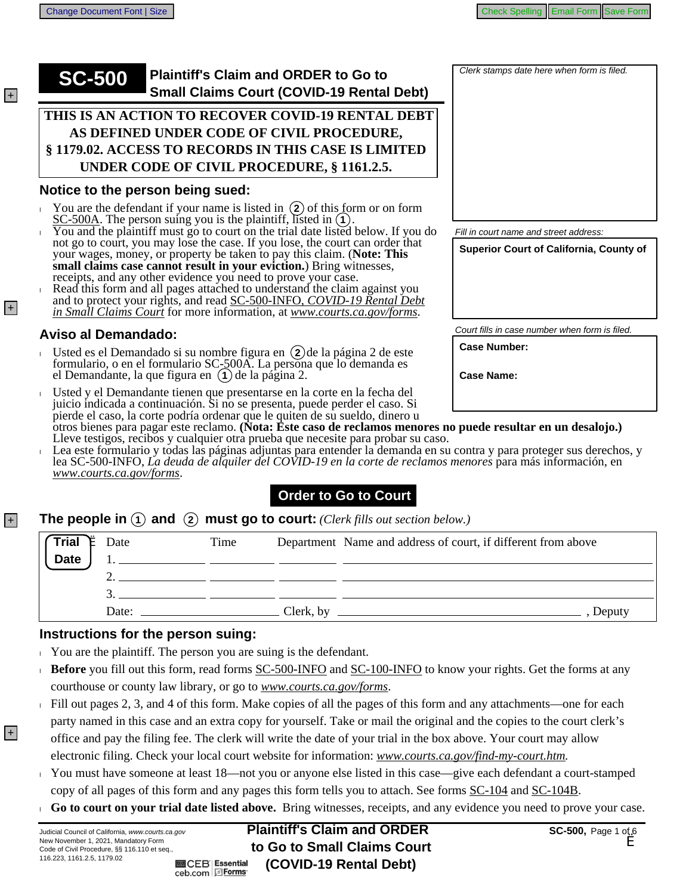## **SC-500** Plaintiff's Claim and ORDER to Go to **Small Claims Court (COVID-19 Rental Debt)**

#### $\tt\tt{THIS}$  is an action to recover covid-19 rental debt AS DEFINED UNDER CODE OF CIVIL PROCEDURE. **8 1179.02. ACCESS TO RECORDS IN THIS CASE IS LIMITED UNDER CODE OF CIVIL PROCEDURE, § 1161.2.5.**

#### Notice to the person being sued:

- You are the defendant if your name is listed in  $(2)$  of this form or on form SC-500A. The person suing you is the plaintiff, listed in  $(1)$ .
- You and the plaintiff must go to court on the trial date listed below. If you do small claims case cannot result in your eviction.) Bring witnesses, receipts, and any other evidence you need to prove your case. not go to court, you may lose the case. If you lose, the court can order that your wages, money, or property be taken to pay this claim. (Note: This
- Read this form and all pages attached to understand the claim against you and to protect your rights, and read SC-500-INFO, COVID-19 Rental Debt in Small Claims Court for more information, at www.courts.ca.gov/forms.

### **Aviso al Demandado:**

- Usted es el Demandado si su nombre figura en (2) de la página 2 de este mulario, o en el formulario SC-500A. La persona que lo dema m
- Usted y el Demandante tienen que presentarse en la corte en la fecha del juicio indicada a continuación. Si no se presenta, puede perder el caso. Si

| Clerk stamps date here when form is filed. |
|--------------------------------------------|
|                                            |
|                                            |
|                                            |
|                                            |
|                                            |
|                                            |
|                                            |
|                                            |
|                                            |
|                                            |
|                                            |
|                                            |
|                                            |
|                                            |
|                                            |

Fill in court name and street address

Superior Court of California, County of

Court fills in case number when form is filed.

**Case Number:** 

**Case Name:** 

- pierde el caso, la corte podría ordenar que le quiten de su sueldo, dinero u<br>otros bienes para pagar este reclamo. (Nota: Este caso de reclamos menores no puede resultar en un desalojo.)<br>Lleve testigos, recibos y cualquier
- Lea este formulario y todas las páginas adjuntas para entender la demanda en su contra y para proteger sus derechos, y lea SC-500-INFO, La deuda de alguiler del COVID-19 en la corte de reclamos menores para más información, en www.courts.ca.gov/forms.

## **Order to Go to Court**

#### **The people in**  $\left(1\right)$  and  $\left(2\right)$  must go to court: (Clerk fills out section below.)  $|+|$

| $\begin{pmatrix} \text{Trial} \\ \text{Date} \end{pmatrix}$ $\stackrel{\text{Date}}{=}$ $\begin{pmatrix} 1 & 1 \\ 1 & 1 \end{pmatrix}$ | Time                                                     | Department Name and address of court, if different from above<br><u> 1990 - Andrea San Aonaichte ann an Comhair ann an Comhair ann an Comhair ann an Comhair ann an Comhair ann an </u> |
|----------------------------------------------------------------------------------------------------------------------------------------|----------------------------------------------------------|-----------------------------------------------------------------------------------------------------------------------------------------------------------------------------------------|
|                                                                                                                                        |                                                          |                                                                                                                                                                                         |
|                                                                                                                                        | Date: $\frac{1}{\sqrt{1-\frac{1}{2}} \cdot \frac{1}{2}}$ | Clerk, by<br>Deputy                                                                                                                                                                     |

#### Instructions for the person suing:

- $\sim$  You are the plaintiff. The person you are suing is the defendant.
- **Before** you fill out this form, read forms SC-500-INFO and SC-100-INFO to know your rights. Get the forms at any courthouse or county law library, or go to www.courts.ca.gov/forms.
- Fill out pages 2, 3, and 4 of this form. Make copies of all the pages of this form and any attachments—one for each party named in this case and an extra copy for yourself. Take or mail the original and the copies to the court clerk's office and pay the filing fee. The clerk will write the date of your trial in the box above. Your court may allow electronic filing. Check your local court website for information: www.courts.ca.gov/find-my-court.htm.
- You must have someone at least  $18$ —not you or anyone else listed in this case—give each defendant a court-stamped copy of all pages of this form and any pages this form tells you to attach. See forms SC-104 and SC-104B.
- Go to court on your trial date listed above. Bring witnesses, receipts, and any evidence you need to prove your case.

| ww.courts.ca.gov                         | <b>Plaintiff's Claim and ORDER</b> |
|------------------------------------------|------------------------------------|
| tory Form<br>3.110 et seq.,              | to Go to Small Claims Court        |
| <b>M</b> CEB Essential<br>ceb.com DForms | (COVID-19 Rental Debt)             |

New November 1, 2021, Manda Code of Civil Procedure, §§ 116 116.223, 1161.2.5, 1179.02

Judicial Council of California, w

 $+$ 

 $|+|$ 

 $|+|$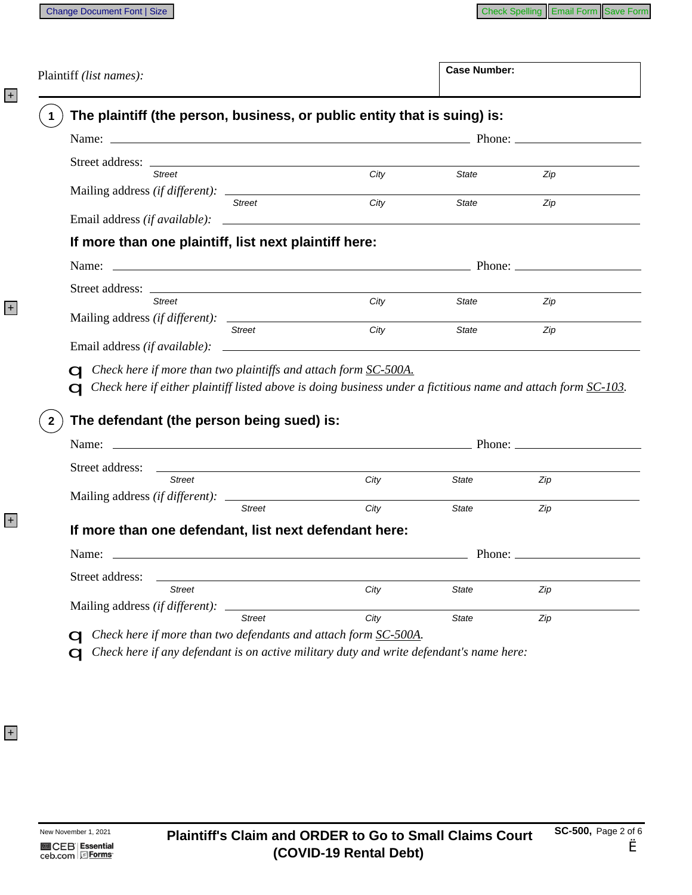Plaintiff (list names):

**Case Number:** 

| <b>Street</b>                      |                                                                                                                                                                                                                                | City | State        | Zip |
|------------------------------------|--------------------------------------------------------------------------------------------------------------------------------------------------------------------------------------------------------------------------------|------|--------------|-----|
|                                    | <b>Street</b>                                                                                                                                                                                                                  | City | <b>State</b> | Zip |
|                                    |                                                                                                                                                                                                                                |      |              |     |
|                                    | If more than one plaintiff, list next plaintiff here:                                                                                                                                                                          |      |              |     |
|                                    | Name: Phone: Phone: Phone: Phone: Phone: Phone: Phone: Phone: Phone: Phone: Phone: Phone: Phone: Phone: Phone: Phone: Phone: Phone: Phone: Phone: Phone: Phone: Phone: Phone: Phone: Phone: Phone: Phone: Phone: Phone: Phone: |      |              |     |
|                                    |                                                                                                                                                                                                                                |      |              |     |
| <b>Street</b>                      |                                                                                                                                                                                                                                | City | State        | Zip |
|                                    |                                                                                                                                                                                                                                |      |              |     |
|                                    | <b>Street</b>                                                                                                                                                                                                                  | City | <b>State</b> | Zip |
|                                    | $\Box$ Check here if more than two plaintiffs and attach form $\underline{SC\text{-}500A}$ .<br>$\Box$ Check here if either plaintiff listed above is doing business under a fictitious name and attach form $SC-103$ .        |      |              |     |
|                                    | The defendant (the person being sued) is:                                                                                                                                                                                      |      |              |     |
|                                    | Name: Name: Name: Name: Name: Name: Name: Name: Name: Name: Name: Name: Name: Name: Name: Name: Name: Name: Name: Name: Name: Name: Name: Name: Name: Name: Name: Name: Name: Name: Name: Name: Name: Name: Name: Name: Name:  |      |              |     |
|                                    |                                                                                                                                                                                                                                |      |              |     |
|                                    | <b>Street</b>                                                                                                                                                                                                                  | City | State        | Zip |
|                                    | <b>Street</b>                                                                                                                                                                                                                  | City | State        | Zip |
|                                    | If more than one defendant, list next defendant here:                                                                                                                                                                          |      |              |     |
|                                    | Name: Phone: Phone: Phone: Phone: Phone: Phone: Phone: Phone: Phone: Phone: Phone: Phone: Phone: Phone: Phone: Phone: Phone: Phone: Phone: Phone: Phone: Phone: Phone: Phone: Phone: Phone: Phone: Phone: Phone: Phone: Phone: |      |              |     |
|                                    |                                                                                                                                                                                                                                |      |              |     |
| Street address:<br>Street address: | <b>Street</b>                                                                                                                                                                                                                  | City | State        | Zip |

 $\mathbf Q$  Check here if any defendant is on active military duty and write defendant's name here:

+

+

+

+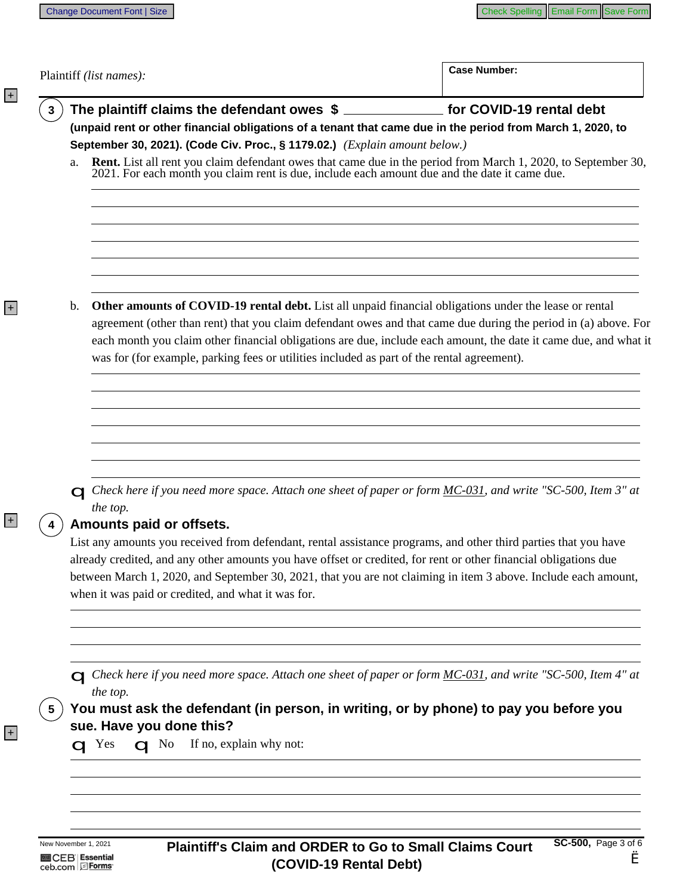|    | Plaintiff (list names):                                                                                                                                                                                                                                                                                                                                                                                     | <b>Case Number:</b>                                                                   |  |
|----|-------------------------------------------------------------------------------------------------------------------------------------------------------------------------------------------------------------------------------------------------------------------------------------------------------------------------------------------------------------------------------------------------------------|---------------------------------------------------------------------------------------|--|
|    | The plaintiff claims the defendant owes \$ _______________ for COVID-19 rental debt                                                                                                                                                                                                                                                                                                                         |                                                                                       |  |
|    | (unpaid rent or other financial obligations of a tenant that came due in the period from March 1, 2020, to                                                                                                                                                                                                                                                                                                  |                                                                                       |  |
| a. | September 30, 2021). (Code Civ. Proc., § 1179.02.) (Explain amount below.)<br><b>Rent.</b> List all rent you claim defendant owes that came due in the period from March 1, 2020, to September 30, 2021. For each month you claim rent is due, include each amount due and the date it came due.                                                                                                            |                                                                                       |  |
|    |                                                                                                                                                                                                                                                                                                                                                                                                             |                                                                                       |  |
| b. | <b>Other amounts of COVID-19 rental debt.</b> List all unpaid financial obligations under the lease or rental<br>agreement (other than rent) that you claim defendant owes and that came due during the period in (a) above. For<br>each month you claim other financial obligations are due, include each amount, the date it came due, and what it                                                        |                                                                                       |  |
|    | was for (for example, parking fees or utilities included as part of the rental agreement).                                                                                                                                                                                                                                                                                                                  |                                                                                       |  |
|    |                                                                                                                                                                                                                                                                                                                                                                                                             |                                                                                       |  |
|    |                                                                                                                                                                                                                                                                                                                                                                                                             |                                                                                       |  |
|    | Check here if you need more space. Attach one sheet of paper or form MC-031, and write "SC-500, Item 3" at<br>the top.<br>Amounts paid or offsets.                                                                                                                                                                                                                                                          |                                                                                       |  |
|    | List any amounts you received from defendant, rental assistance programs, and other third parties that you have<br>already credited, and any other amounts you have offset or credited, for rent or other financial obligations due<br>between March 1, 2020, and September 30, 2021, that you are not claiming in item 3 above. Include each amount,<br>when it was paid or credited, and what it was for. |                                                                                       |  |
|    |                                                                                                                                                                                                                                                                                                                                                                                                             |                                                                                       |  |
|    | Check here if you need more space. Attach one sheet of paper or form MC-031, and write "SC-500, Item 4" at<br>the top.                                                                                                                                                                                                                                                                                      |                                                                                       |  |
|    |                                                                                                                                                                                                                                                                                                                                                                                                             | You must ask the defendant (in person, in writing, or by phone) to pay you before you |  |
|    |                                                                                                                                                                                                                                                                                                                                                                                                             |                                                                                       |  |

+

+

+

+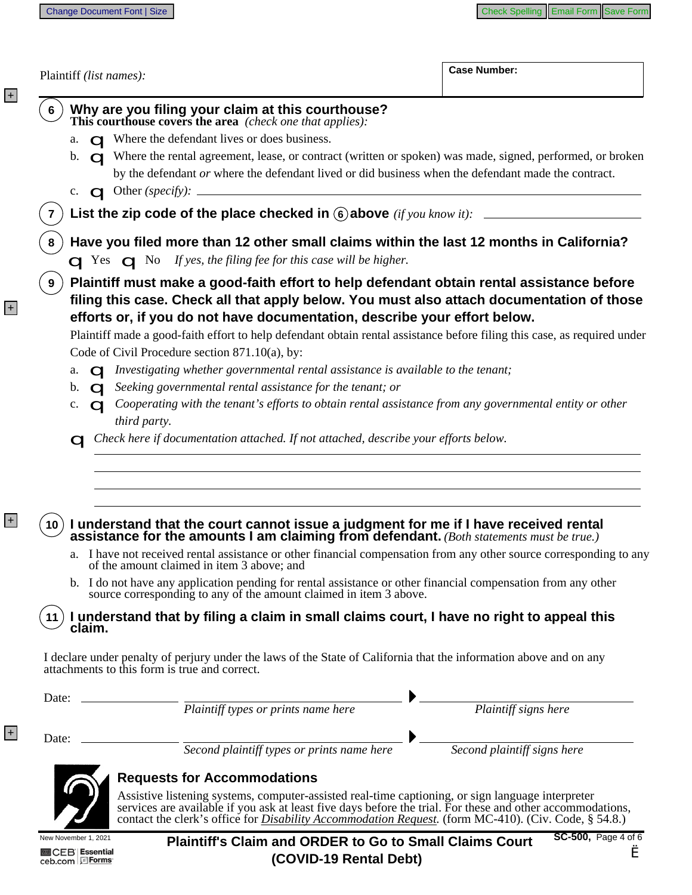$\overline{\phantom{a}}$ 

Case Number:

| Why are you filing your claim at this courthouse?<br>This courthouse covers the area (check one that applies):                                                                                                                                                                                                                                                                                                                                                                                                                                                                                                                                                                                                                                                                                                                                                                   |                                                                                                                                                                                                                                                                                                                                                                                                                                                                                                                                                                                                                                           |
|----------------------------------------------------------------------------------------------------------------------------------------------------------------------------------------------------------------------------------------------------------------------------------------------------------------------------------------------------------------------------------------------------------------------------------------------------------------------------------------------------------------------------------------------------------------------------------------------------------------------------------------------------------------------------------------------------------------------------------------------------------------------------------------------------------------------------------------------------------------------------------|-------------------------------------------------------------------------------------------------------------------------------------------------------------------------------------------------------------------------------------------------------------------------------------------------------------------------------------------------------------------------------------------------------------------------------------------------------------------------------------------------------------------------------------------------------------------------------------------------------------------------------------------|
| $\Box$ Where the defendant lives or does business.<br>a.                                                                                                                                                                                                                                                                                                                                                                                                                                                                                                                                                                                                                                                                                                                                                                                                                         |                                                                                                                                                                                                                                                                                                                                                                                                                                                                                                                                                                                                                                           |
| b. <b>Q</b> Where the rental agreement, lease, or contract (written or spoken) was made, signed, performed, or broken<br>by the defendant or where the defendant lived or did business when the defendant made the contract.                                                                                                                                                                                                                                                                                                                                                                                                                                                                                                                                                                                                                                                     |                                                                                                                                                                                                                                                                                                                                                                                                                                                                                                                                                                                                                                           |
| c. $\Box$ Other (specify): $\Box$                                                                                                                                                                                                                                                                                                                                                                                                                                                                                                                                                                                                                                                                                                                                                                                                                                                |                                                                                                                                                                                                                                                                                                                                                                                                                                                                                                                                                                                                                                           |
| List the zip code of the place checked in 6 above (if you know it): _____________                                                                                                                                                                                                                                                                                                                                                                                                                                                                                                                                                                                                                                                                                                                                                                                                |                                                                                                                                                                                                                                                                                                                                                                                                                                                                                                                                                                                                                                           |
| Have you filed more than 12 other small claims within the last 12 months in California?<br>$\Box$ Yes $\Box$ No If yes, the filing fee for this case will be higher.                                                                                                                                                                                                                                                                                                                                                                                                                                                                                                                                                                                                                                                                                                             |                                                                                                                                                                                                                                                                                                                                                                                                                                                                                                                                                                                                                                           |
| Plaintiff must make a good-faith effort to help defendant obtain rental assistance before<br>9<br>filing this case. Check all that apply below. You must also attach documentation of those<br>efforts or, if you do not have documentation, describe your effort below.<br>Plaintiff made a good-faith effort to help defendant obtain rental assistance before filing this case, as required under<br>Code of Civil Procedure section 871.10(a), by:<br>$\mathbf Q$ Investigating whether governmental rental assistance is available to the tenant;<br>a.<br>b. $\alpha$ Seeking governmental rental assistance for the tenant; or<br>Cooperating with the tenant's efforts to obtain rental assistance from any governmental entity or other<br>c.<br>$\Omega$<br>third party.<br>$\Box$ Check here if documentation attached. If not attached, describe your efforts below. |                                                                                                                                                                                                                                                                                                                                                                                                                                                                                                                                                                                                                                           |
|                                                                                                                                                                                                                                                                                                                                                                                                                                                                                                                                                                                                                                                                                                                                                                                                                                                                                  |                                                                                                                                                                                                                                                                                                                                                                                                                                                                                                                                                                                                                                           |
| I understand that the court cannot issue a judgment for me if I have received rental assistance for the amounts I am claiming from defendant. (Both statements must be true.)<br>10.<br>a. I have not received rental assistance or other financial compensation from any other source corresponding to any<br>of the amount claimed in item 3 above; and                                                                                                                                                                                                                                                                                                                                                                                                                                                                                                                        |                                                                                                                                                                                                                                                                                                                                                                                                                                                                                                                                                                                                                                           |
| b. I do not have any application pending for rental assistance or other financial compensation from any other<br>source corresponding to any of the amount claimed in item 3 above.                                                                                                                                                                                                                                                                                                                                                                                                                                                                                                                                                                                                                                                                                              |                                                                                                                                                                                                                                                                                                                                                                                                                                                                                                                                                                                                                                           |
| I understand that by filing a claim in small claims court, I have no right to appeal this<br>claim.                                                                                                                                                                                                                                                                                                                                                                                                                                                                                                                                                                                                                                                                                                                                                                              |                                                                                                                                                                                                                                                                                                                                                                                                                                                                                                                                                                                                                                           |
| I declare under penalty of perjury under the laws of the State of California that the information above and on any<br>attachments to this form is true and correct.                                                                                                                                                                                                                                                                                                                                                                                                                                                                                                                                                                                                                                                                                                              |                                                                                                                                                                                                                                                                                                                                                                                                                                                                                                                                                                                                                                           |
|                                                                                                                                                                                                                                                                                                                                                                                                                                                                                                                                                                                                                                                                                                                                                                                                                                                                                  |                                                                                                                                                                                                                                                                                                                                                                                                                                                                                                                                                                                                                                           |
| Date: <u>National Plaintiff types or prints name here</u>                                                                                                                                                                                                                                                                                                                                                                                                                                                                                                                                                                                                                                                                                                                                                                                                                        | $P_{\text{laintiff signs here}}$                                                                                                                                                                                                                                                                                                                                                                                                                                                                                                                                                                                                          |
| Second plaintiff types or prints name here                                                                                                                                                                                                                                                                                                                                                                                                                                                                                                                                                                                                                                                                                                                                                                                                                                       | $\begin{tabular}{c} \quad \quad \textcolor{red}{\bullet} \quad \textcolor{red}{\bullet} \quad \textcolor{red}{\bullet} \quad \textcolor{red}{\bullet} \quad \textcolor{red}{\bullet} \quad \textcolor{red}{\bullet} \quad \textcolor{red}{\bullet} \quad \textcolor{red}{\bullet} \quad \textcolor{red}{\bullet} \quad \textcolor{red}{\bullet} \quad \textcolor{red}{\bullet} \quad \textcolor{red}{\bullet} \quad \textcolor{red}{\bullet} \quad \textcolor{red}{\bullet} \quad \textcolor{red}{\bullet} \quad \textcolor{red}{\bullet} \quad \textcolor{red}{\bullet} \quad \textcolor{red}{\bullet} \quad \textcolor{red}{\bullet} \$ |

New November 1, 2021 **M**CEB Essential<br>ceb.com EForms

+

+

+

+

SC-500, Page 4 of 6 **Plaintiff's Claim and ORDER to Go to Small Claims Court** è (COVID-19 Rental Debt)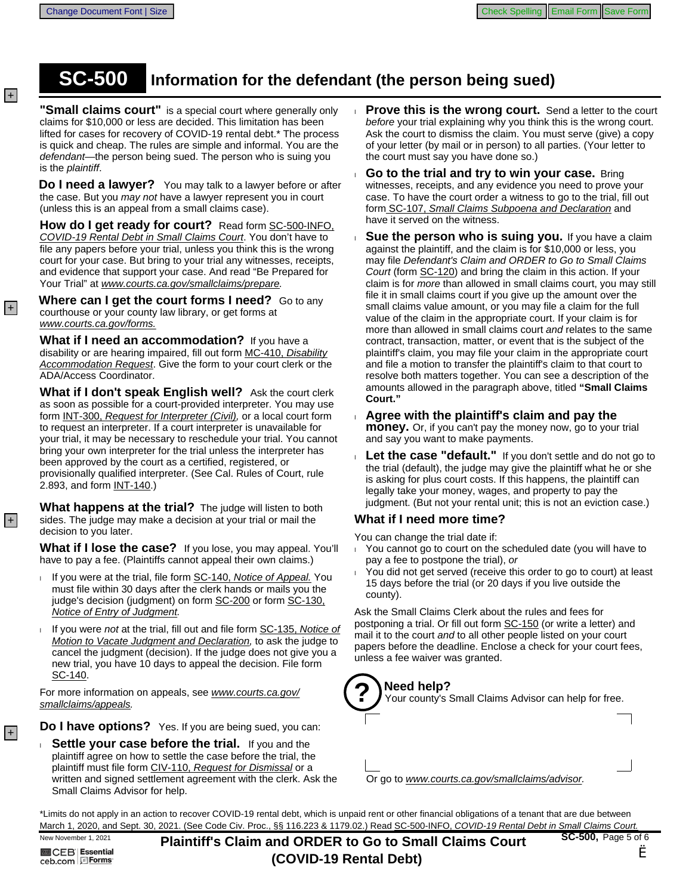# **SC-500** Information for the defendant (the person being sued)

"**Small claims court**" is a special court where generally only claims for \$10,000 or less are decided. This limitation has been lifted for cases for recovery of COVID-19 rental debt.\* The process is quick and cheap. The rules are simple and informal. You are the defendant—the person being sued. The person who is suing you is the plaintiff.

Do I need a lawyer? You may talk to a lawyer before or after the case. But you may not have a lawyer represent you in court (unless this is an appeal from a small claims case).

**How do I get ready for court?** Read form SC-500-INFO, COVID-19 Rental Debt in Small Claims Court. You don't have to file any papers before your trial, unless you think this is the wrong court for your case. But bring to your trial any witnesses, receipts, and evidence that support your case. And read "Be Prepared for Your Trial" at www.courts.ca.gov/smallclaims/prepare.

**Where can I get the court forms I need?** Go to any courthouse or your county law library, or get forms at www.courts.ca.gov/forms.

**What if I need an accommodation?** If you have a disability or are hearing impaired, fill out form MC-410, Disability Accommodation Request. Give the form to your court clerk or the ADA/Access Coordinator.

**What if I don't speak English well?** Ask the court clerk as soon as possible for a court-provided interpreter. You may use form INT-300, Request for Interpreter (Civil), or a local court form to request an interpreter. If a court interpreter is unavailable for your trial, it may be necessary to reschedule your trial. You cannot bring your own interpreter for the trial unless the interpreter has been approved by the court as a certified, registered, or provisionally qualified interpreter. (See Cal. Rules of Court, rule 2.893, and form INT-140.)

**What happens at the trial?** The judge will listen to both sides. The judge may make a decision at your trial or mail the decision to you later.

**What if I lose the case?** If you lose, you may appeal. You'll have to pay a fee. (Plaintiffs cannot appeal their own claims.)

- If you were at the trial, file form SC-140, Notice of Appeal. You must file within 30 days after the clerk hands or mails you the judge's decision (judgment) on form SC-200 or form SC-130, Notice of Entry of Judgment.
- If you were not at the trial, fill out and file form SC-135, Notice of Motion to Vacate Judgment and Declaration, to ask the judge to cancel the judgment (decision). If the judge does not give you a new trial, you have 10 days to appeal the decision. File form SC-140.

For more information on appeals, see www.courts.ca.gov/ smallclaims/appeals.

Do I have options? Yes. If you are being sued, you can:

**Settle your case before the trial.** If you and the plaintiff agree on how to settle the case before the trial, the plaintiff must file form CIV-110, Request for Dismissal or a written and signed settlement agreement with the clerk. Ask the Small Claims Advisor for help.

- **Prove this is the wrong court.** Send a letter to the court before your trial explaining why you think this is the wrong court. Ask the court to dismiss the claim. You must serve (give) a copy of your letter (by mail or in person) to all parties. (Your letter to the court must say you have done so.)
- **Go to the trial and try to win your case.** Bring witnesses, receipts, and any evidence you need to prove your case. To have the court order a witness to go to the trial, fill out form SC-107, Small Claims Subpoena and Declaration and have it served on the witness.
- **Sue the person who is suing you.** If you have a claim against the plaintiff, and the claim is for \$10,000 or less, you may file Defendant's Claim and ORDER to Go to Small Claims Court (form SC-120) and bring the claim in this action. If your claim is for *more* than allowed in small claims court, you may still file it in small claims court if you give up the amount over the small claims value amount, or you may file a claim for the full value of the claim in the appropriate court. If your claim is for more than allowed in small claims court and relates to the same contract, transaction, matter, or event that is the subject of the plaintiff's claim, you may file your claim in the appropriate court and file a motion to transfer the plaintiff's claim to that court to resolve both matters together. You can see a description of the amounts allowed in the paragraph above, titled "Small Claims Court."
- Agree with the plaintiff's claim and pay the **money.** Or, if you can't pay the money now, go to your trial and say you want to make payments.
- Let the case "default." If you don't settle and do not go to  $\mathbf{L}$ the trial (default), the judge may give the plaintiff what he or she is asking for plus court costs. If this happens, the plaintiff can legally take your money, wages, and property to pay the judgment. (But not your rental unit; this is not an eviction case.)

#### **What if I need more time?**

You can change the trial date if:

- You cannot go to court on the scheduled date (you will have to  $\mathbf{L}$ pay a fee to postpone the trial), or
- You did not get served (receive this order to go to court) at least 15 days before the trial (or 20 days if you live outside the county).

Ask the Small Claims Clerk about the rules and fees for postponing a trial. Or fill out form SC-150 (or write a letter) and mail it to the court and to all other people listed on your court papers before the deadline. Enclose a check for your court fees, unless a fee waiver was granted.

#### **?** Need help?

Your county's Small Claims Advisor can help for free.



Or go to www.courts.ca.gov/smallclaims/advisor.

\*Limits do not apply in an action to recover COVID-19 rental debt, which is unpaid rent or other financial obligations of a tenant that are due between March 1, 2020, and Sept. 30, 2021. (See Code Civ. Proc., §§ 116.223 & 1179.02.) Read SC-500-INFO, COVID-19 Rental Debt in Small Claims Court. SC-500, Page 5 of 6

New November 1, 2021 **图 CEB Essential** ceb.com <u>Forms</u>

 $+$ 

 $|+|$ 

 $|+|$ 

 $|+|$ 

**Plaintiff's Claim and ORDER to Go to Small Claims Court (COVID-19 Rental Debt)**